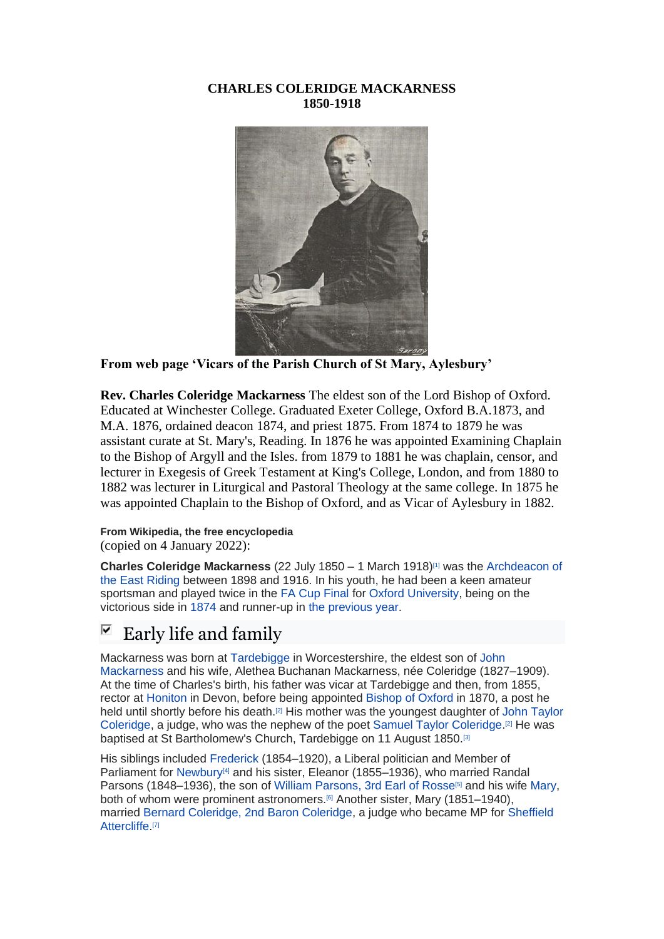#### **CHARLES COLERIDGE MACKARNESS 1850-1918**



**From web page 'Vicars of the Parish Church of St Mary, Aylesbury'**

**Rev. Charles Coleridge Mackarness** The eldest son of the Lord Bishop of Oxford. Educated at Winchester College. Graduated Exeter College, Oxford B.A.1873, and M.A. 1876, ordained deacon 1874, and priest 1875. From 1874 to 1879 he was assistant curate at St. Mary's, Reading. In 1876 he was appointed Examining Chaplain to the Bishop of Argyll and the Isles. from 1879 to 1881 he was chaplain, censor, and lecturer in Exegesis of Greek Testament at King's College, London, and from 1880 to 1882 was lecturer in Liturgical and Pastoral Theology at the same college. In 1875 he was appointed Chaplain to the Bishop of Oxford, and as Vicar of Aylesbury in 1882.

#### **From Wikipedia, the free encyclopedia** (copied on 4 January 2022):

**Charles Coleridge Mackarness** (22 July 1850 – 1 March 1918)[\[1\]](https://en.wikipedia.org/wiki/Charles_Mackarness#cite_note-Who_Was_Who-1) was the [Archdeacon of](https://en.wikipedia.org/wiki/Archdeacon_of_the_East_Riding)  [the East Riding](https://en.wikipedia.org/wiki/Archdeacon_of_the_East_Riding) between 1898 and 1916. In his youth, he had been a keen amateur sportsman and played twice in the [FA Cup Final](https://en.wikipedia.org/wiki/FA_Cup_Final) for [Oxford University,](https://en.wikipedia.org/wiki/Oxford_University_A.F.C.) being on the victorious side in [1874](https://en.wikipedia.org/wiki/1874_FA_Cup_Final) and runner-up in [the previous year.](https://en.wikipedia.org/wiki/1873_FA_Cup_Final)

#### ⊽ Early life and family

Mackarness was born at [Tardebigge](https://en.wikipedia.org/wiki/Tardebigge) in Worcestershire, the eldest son of [John](https://en.wikipedia.org/wiki/John_Mackarness)  [Mackarness](https://en.wikipedia.org/wiki/John_Mackarness) and his wife, Alethea Buchanan Mackarness, née Coleridge (1827–1909). At the time of Charles's birth, his father was vicar at Tardebigge and then, from 1855, rector at [Honiton](https://en.wikipedia.org/wiki/Honiton) in Devon, before being appointed [Bishop of Oxford](https://en.wikipedia.org/wiki/Bishop_of_Oxford) in 1870, a post he held until shortly before his death.[\[2\]](https://en.wikipedia.org/wiki/Charles_Mackarness#cite_note-DNB-2) His mother was the youngest daughter of [John Taylor](https://en.wikipedia.org/wiki/John_Taylor_Coleridge)  [Coleridge,](https://en.wikipedia.org/wiki/John_Taylor_Coleridge) a judge, who was the nephew of the poet [Samuel Taylor Coleridge.](https://en.wikipedia.org/wiki/Samuel_Taylor_Coleridge) [\[2\]](https://en.wikipedia.org/wiki/Charles_Mackarness#cite_note-DNB-2) He was baptised at St Bartholomew's Church, Tardebigge on 11 August 1850.<sup>[\[3\]](https://en.wikipedia.org/wiki/Charles_Mackarness#cite_note-3)</sup>

His siblings included [Frederick](https://en.wikipedia.org/wiki/Frederick_Coleridge_Mackarness) (1854–1920), a Liberal politician and Member of Parliament for [Newbury](https://en.wikipedia.org/wiki/Newbury_(UK_Parliament_constituency))<sup>[\[4\]](https://en.wikipedia.org/wiki/Charles_Mackarness#cite_note-FOOTNOTECraig1989-4)</sup> and his sister, Eleanor (1855–1936), who married Randal Parsons (1848–1936), the son of [William Parsons, 3rd Earl of Rosse](https://en.wikipedia.org/wiki/William_Parsons,_3rd_Earl_of_Rosse)<sup>[\[5\]](https://en.wikipedia.org/wiki/Charles_Mackarness#cite_note-5)</sup> and his wife [Mary,](https://en.wikipedia.org/wiki/Mary_Rosse) both of whom were prominent astronomers.<sup>[\[6\]](https://en.wikipedia.org/wiki/Charles_Mackarness#cite_note-6)</sup> Another sister, Mary (1851–1940), married [Bernard Coleridge, 2nd Baron Coleridge,](https://en.wikipedia.org/wiki/Bernard_Coleridge,_2nd_Baron_Coleridge) a judge who became MP for [Sheffield](https://en.wikipedia.org/wiki/Sheffield_Attercliffe_(UK_Parliament_constituency))  [Attercliffe.](https://en.wikipedia.org/wiki/Sheffield_Attercliffe_(UK_Parliament_constituency))<sup>[\[7\]](https://en.wikipedia.org/wiki/Charles_Mackarness#cite_note-FOOTNOTECraig1989183-7)</sup>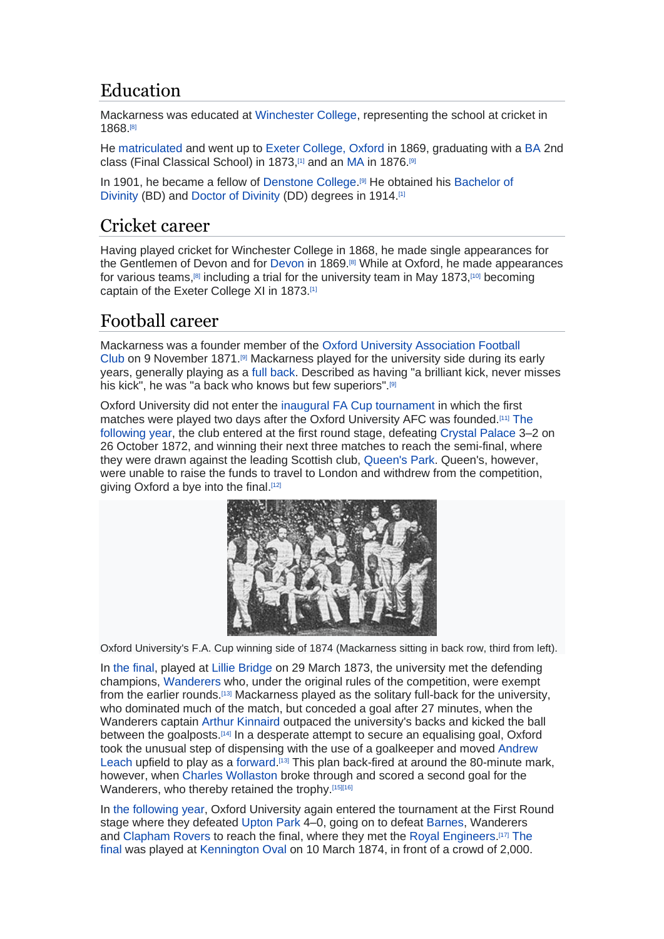# Education

Mackarness was educated at [Winchester College,](https://en.wikipedia.org/wiki/Winchester_College) representing the school at cricket in 1868.[\[8\]](https://en.wikipedia.org/wiki/Charles_Mackarness#cite_note-CricketArchive422581-8)

He [matriculated](https://en.wikipedia.org/wiki/Matriculated) and went up to [Exeter College, Oxford](https://en.wikipedia.org/wiki/Exeter_College,_Oxford) in 1869, graduating with a [BA](https://en.wikipedia.org/wiki/Bachelor_of_Arts) 2nd class (Final Classical School) in 1873,<sup>[\[1\]](https://en.wikipedia.org/wiki/Charles_Mackarness#cite_note-Who_Was_Who-1)</sup> and an [MA](https://en.wikipedia.org/wiki/Master_of_Arts) in 1876.<sup>[\[9\]](https://en.wikipedia.org/wiki/Charles_Mackarness#cite_note-FOOTNOTEWarsop2004103-9)</sup>

In 1901, he became a fellow of [Denstone College.](https://en.wikipedia.org/wiki/Denstone_College)<sup>[\[9\]](https://en.wikipedia.org/wiki/Charles_Mackarness#cite_note-FOOTNOTEWarsop2004103-9)</sup> He obtained his Bachelor of [Divinity](https://en.wikipedia.org/wiki/Bachelor_of_Divinity) (BD) and [Doctor of Divinity](https://en.wikipedia.org/wiki/Doctor_of_Divinity) (DD) degrees in 1914.[\[1\]](https://en.wikipedia.org/wiki/Charles_Mackarness#cite_note-Who_Was_Who-1)

## Cricket career

Having played cricket for Winchester College in 1868, he made single appearances for the Gentlemen of Devon and for [Devon](https://en.wikipedia.org/wiki/Devon_County_Cricket_Club) in 1869.[\[8\]](https://en.wikipedia.org/wiki/Charles_Mackarness#cite_note-CricketArchive422581-8) While at Oxford, he made appearances for various teams,<sup>[\[8\]](https://en.wikipedia.org/wiki/Charles_Mackarness#cite_note-CricketArchive422581-8)</sup> including a trial for the university team in May 1873.<sup>[\[10\]](https://en.wikipedia.org/wiki/Charles_Mackarness#cite_note-10)</sup> becoming captain of the Exeter College XI in 1873.[\[1\]](https://en.wikipedia.org/wiki/Charles_Mackarness#cite_note-Who_Was_Who-1)

# Football career

Mackarness was a founder member of the [Oxford University Association Football](https://en.wikipedia.org/wiki/Oxford_University_Association_Football_Club)  [Club](https://en.wikipedia.org/wiki/Oxford_University_Association_Football_Club) on 9 November 1871.[\[9\]](https://en.wikipedia.org/wiki/Charles_Mackarness#cite_note-FOOTNOTEWarsop2004103-9) Mackarness played for the university side during its early years, generally playing as a [full back.](https://en.wikipedia.org/wiki/Defender_(association_football)#Full-back) Described as having "a brilliant kick, never misses his kick", he was "a back who knows but few superiors".<sup>[\[9\]](https://en.wikipedia.org/wiki/Charles_Mackarness#cite_note-FOOTNOTEWarsop2004103-9)</sup>

Oxford University did not enter the [inaugural FA Cup tournament](https://en.wikipedia.org/wiki/1871%E2%80%9372_FA_Cup) in which the first matches were played two days after the Oxford University AFC was founded.[\[11\]](https://en.wikipedia.org/wiki/Charles_Mackarness#cite_note-FOOTNOTECollett200314-11) [The](https://en.wikipedia.org/wiki/1872%E2%80%9373_FA_Cup)  [following year,](https://en.wikipedia.org/wiki/1872%E2%80%9373_FA_Cup) the club entered at the first round stage, defeating [Crystal Palace](https://en.wikipedia.org/wiki/Crystal_Palace_F.C._(1861)) 3–2 on 26 October 1872, and winning their next three matches to reach the semi-final, where they were drawn against the leading Scottish club, [Queen's Park.](https://en.wikipedia.org/wiki/Queen%27s_Park_F.C.) Queen's, however, were unable to raise the funds to travel to London and withdrew from the competition, giving Oxford a bye into the final.<sup>[\[12\]](https://en.wikipedia.org/wiki/Charles_Mackarness#cite_note-FC-12)</sup>



Oxford University's F.A. Cup winning side of 1874 (Mackarness sitting in back row, third from left).

In [the final,](https://en.wikipedia.org/wiki/1873_FA_Cup_Final) played at [Lillie Bridge](https://en.wikipedia.org/wiki/Lillie_Bridge_Grounds) on 29 March 1873, the university met the defending champions, [Wanderers](https://en.wikipedia.org/wiki/Wanderers_F.C.) who, under the original rules of the competition, were exempt from the earlier rounds.[\[13\]](https://en.wikipedia.org/wiki/Charles_Mackarness#cite_note-FOOTNOTEWarsop200441-13) Mackarness played as the solitary full-back for the university, who dominated much of the match, but conceded a goal after 27 minutes, when the Wanderers captain [Arthur Kinnaird](https://en.wikipedia.org/wiki/Arthur_Kinnaird,_11th_Lord_Kinnaird) outpaced the university's backs and kicked the ball between the goalposts.[\[14\]](https://en.wikipedia.org/wiki/Charles_Mackarness#cite_note-FOOTNOTEWarsop200431-14) In a desperate attempt to secure an equalising goal, Oxford took the unusual step of dispensing with the use of a goalkeeper and moved [Andrew](https://en.wikipedia.org/wiki/Andrew_Leach)  [Leach](https://en.wikipedia.org/wiki/Andrew_Leach) upfield to play as a [forward.](https://en.wikipedia.org/wiki/Forward_(association_football))<sup>[\[13\]](https://en.wikipedia.org/wiki/Charles_Mackarness#cite_note-FOOTNOTEWarsop200441-13)</sup> This plan back-fired at around the 80-minute mark, however, when [Charles Wollaston](https://en.wikipedia.org/wiki/Charles_Wollaston) broke through and scored a second goal for the Wanderers, who thereby retained the trophy.[\[15\]\[](https://en.wikipedia.org/wiki/Charles_Mackarness#cite_note-FOOTNOTEGibbons200138%E2%80%9339-15)[16\]](https://en.wikipedia.org/wiki/Charles_Mackarness#cite_note-16)

In [the following year,](https://en.wikipedia.org/wiki/1873%E2%80%9374_FA_Cup) Oxford University again entered the tournament at the First Round stage where they defeated [Upton Park](https://en.wikipedia.org/wiki/Upton_Park_F.C.) 4–0, going on to defeat [Barnes,](https://en.wikipedia.org/wiki/Barnes_Rugby_Football_Club) Wanderers and [Clapham Rovers](https://en.wikipedia.org/wiki/Clapham_Rovers_F.C.) to reach the final, where they met the [Royal Engineers.](https://en.wikipedia.org/wiki/Royal_Engineers_A.F.C.) [\[17\]](https://en.wikipedia.org/wiki/Charles_Mackarness#cite_note-FOOTNOTECollett2003479-17) [The](https://en.wikipedia.org/wiki/1874_FA_Cup_Final)  [final](https://en.wikipedia.org/wiki/1874_FA_Cup_Final) was played at [Kennington Oval](https://en.wikipedia.org/wiki/Kennington_Oval) on 10 March 1874, in front of a crowd of 2,000.